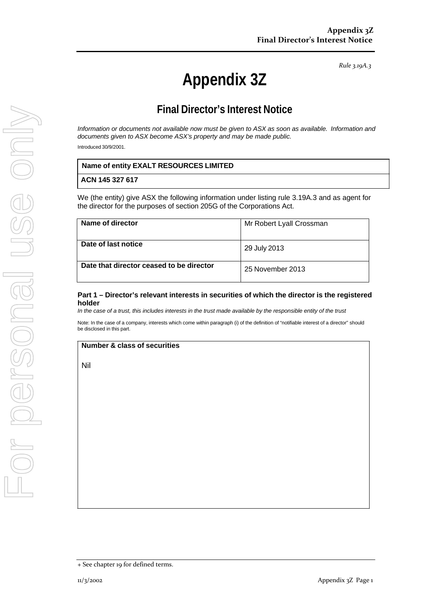*Rule 3.19A.3*

# **Appendix 3Z**

# **Final Director's Interest Notice**

*Information or documents not available now must be given to ASX as soon as available. Information and documents given to ASX become ASX's property and may be made public.*

Introduced 30/9/2001.

### **ACN 145 327 617**

We (the entity) give ASX the following information under listing rule 3.19A.3 and as agent for the director for the purposes of section 205G of the Corporations Act.

| Name of director                         | Mr Robert Lyall Crossman |
|------------------------------------------|--------------------------|
| Date of last notice                      | 29 July 2013             |
| Date that director ceased to be director | 25 November 2013         |

#### **Part 1 – Director's relevant interests in securities of which the director is the registered holder**

*In the case of a trust, this includes interests in the trust made available by the responsible entity of the trust*

Note: In the case of a company, interests which come within paragraph (i) of the definition of "notifiable interest of a director" should be disclosed in this part.

#### **Number & class of securities**

Nil

<sup>+</sup> See chapter 19 for defined terms.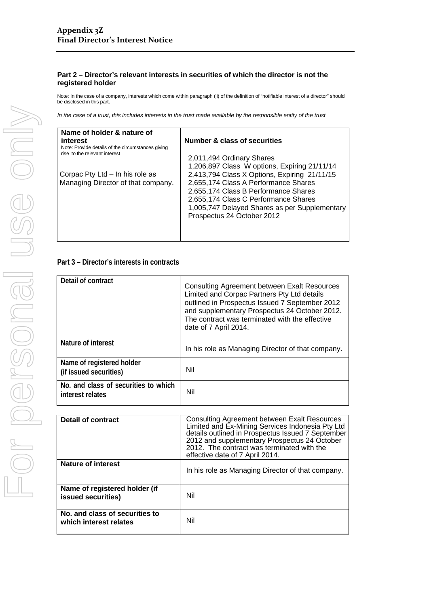### **Part 2 – Director's relevant interests in securities of which the director is not the registered holder**

Note: In the case of a company, interests which come within paragraph (ii) of the definition of "notifiable interest of a director" should be disclosed in this part.

*In the case of a trust, this includes interests in the trust made available by the responsible entity of the trust*

| Name of holder & nature of                                                         |                                               |
|------------------------------------------------------------------------------------|-----------------------------------------------|
| interest                                                                           | <b>Number &amp; class of securities</b>       |
| Note: Provide details of the circumstances giving<br>rise to the relevant interest |                                               |
|                                                                                    | 2,011,494 Ordinary Shares                     |
|                                                                                    | 1,206,897 Class W options, Expiring 21/11/14  |
| Corpac Pty Ltd - In his role as                                                    | 2,413,794 Class X Options, Expiring 21/11/15  |
| Managing Director of that company.                                                 | 2,655,174 Class A Performance Shares          |
|                                                                                    | 2,655,174 Class B Performance Shares          |
|                                                                                    | 2,655,174 Class C Performance Shares          |
|                                                                                    | 1,005,747 Delayed Shares as per Supplementary |
|                                                                                    | Prospectus 24 October 2012                    |
|                                                                                    |                                               |
|                                                                                    |                                               |
|                                                                                    |                                               |

## **Part 3 – Director's interests in contracts**

| Detail of contract                                       | <b>Consulting Agreement between Exalt Resources</b><br>Limited and Corpac Partners Pty Ltd details<br>outlined in Prospectus Issued 7 September 2012<br>and supplementary Prospectus 24 October 2012.<br>The contract was terminated with the effective<br>date of 7 April 2014. |
|----------------------------------------------------------|----------------------------------------------------------------------------------------------------------------------------------------------------------------------------------------------------------------------------------------------------------------------------------|
| Nature of interest                                       | In his role as Managing Director of that company.                                                                                                                                                                                                                                |
| Name of registered holder<br>(if issued securities)      | Nil                                                                                                                                                                                                                                                                              |
| No. and class of securities to which<br>interest relates | Nil                                                                                                                                                                                                                                                                              |

| <b>Detail of contract</b>                                | <b>Consulting Agreement between Exalt Resources</b><br>Limited and Ex-Mining Services Indonesia Pty Ltd<br>details outlined in Prospectus Issued 7 September<br>2012 and supplementary Prospectus 24 October<br>2012. The contract was terminated with the<br>effective date of 7 April 2014. |
|----------------------------------------------------------|-----------------------------------------------------------------------------------------------------------------------------------------------------------------------------------------------------------------------------------------------------------------------------------------------|
| Nature of interest                                       | In his role as Managing Director of that company.                                                                                                                                                                                                                                             |
| Name of registered holder (if<br>issued securities)      | Nil                                                                                                                                                                                                                                                                                           |
| No. and class of securities to<br>which interest relates | Nil                                                                                                                                                                                                                                                                                           |